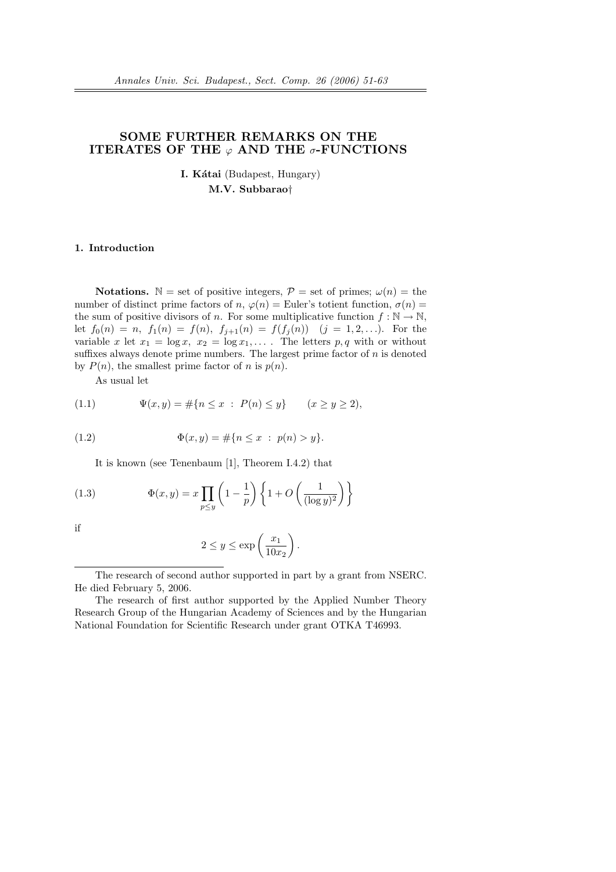# SOME FURTHER REMARKS ON THE ITERATES OF THE  $\varphi$  AND THE  $\sigma$ -FUNCTIONS

**I. Kátai** (Budapest, Hungary) M.V. Subbarao†

## 1. Introduction

**Notations.**  $\mathbb{N} =$  set of positive integers,  $\mathcal{P} =$  set of primes;  $\omega(n) =$  the number of distinct prime factors of n,  $\varphi(n) =$  Euler's totient function,  $\sigma(n) =$ the sum of positive divisors of n. For some multiplicative function  $f : \mathbb{N} \to \mathbb{N}$ , let  $f_0(n) = n$ ,  $f_1(n) = f(n)$ ,  $f_{j+1}(n) = f(f_j(n))$   $(j = 1, 2, ...)$ . For the variable x let  $x_1 = \log x$ ,  $x_2 = \log x_1$ ,... The letters p, q with or without suffixes always denote prime numbers. The largest prime factor of  $n$  is denoted by  $P(n)$ , the smallest prime factor of n is  $p(n)$ .

As usual let

(1.1) 
$$
\Psi(x, y) = \#\{n \le x : P(n) \le y\} \qquad (x \ge y \ge 2),
$$

(1.2) 
$$
\Phi(x, y) = \#\{n \le x : p(n) > y\}.
$$

It is known (see Tenenbaum [1], Theorem I.4.2) that

(1.3) 
$$
\Phi(x,y) = x \prod_{p \le y} \left(1 - \frac{1}{p}\right) \left\{1 + O\left(\frac{1}{(\log y)^2}\right)\right\}
$$

if

$$
2 \le y \le \exp\left(\frac{x_1}{10x_2}\right).
$$

The research of second author supported in part by a grant from NSERC. He died February 5, 2006.

The research of first author supported by the Applied Number Theory Research Group of the Hungarian Academy of Sciences and by the Hungarian National Foundation for Scientific Research under grant OTKA T46993.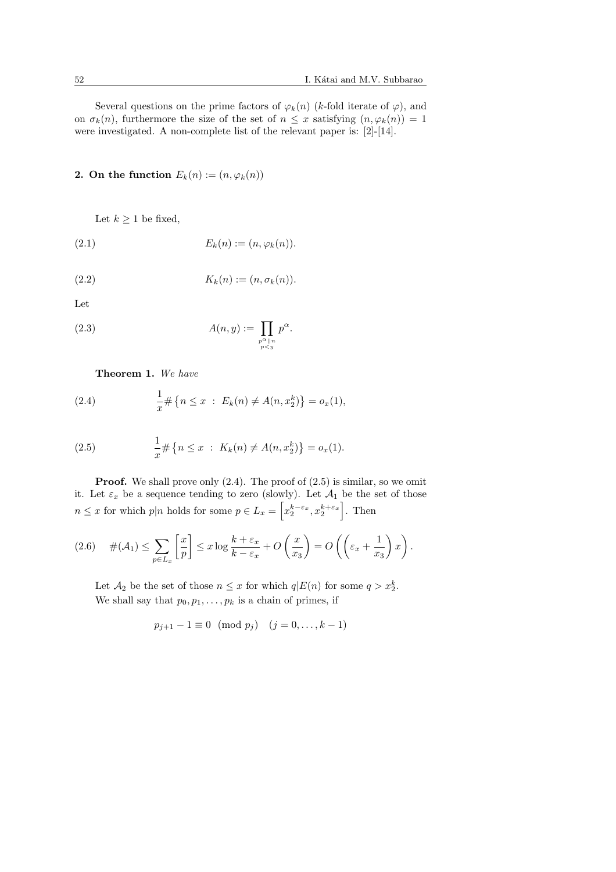Several questions on the prime factors of  $\varphi_k(n)$  (k-fold iterate of  $\varphi$ ), and on  $\sigma_k(n)$ , furthermore the size of the set of  $n \leq x$  satisfying  $(n, \varphi_k(n)) = 1$ were investigated. A non-complete list of the relevant paper is: [2]-[14].

2. On the function  $E_k(n) := (n, \varphi_k(n))$ 

Let  $k \geq 1$  be fixed,

$$
(2.1) \t\t Ek(n) := (n, \varphik(n)).
$$

$$
(2.2) \t Kk(n) := (n, \sigmak(n)).
$$

Let

(2.3) 
$$
A(n,y) := \prod_{\substack{p^{\alpha} \parallel n \\ p < y}} p^{\alpha}.
$$

Theorem 1. We have

(2.4) 
$$
\frac{1}{x} \# \{ n \leq x \ : \ E_k(n) \neq A(n, x_2^k) \} = o_x(1),
$$

(2.5) 
$$
\frac{1}{x} \# \{ n \leq x \ : \ K_k(n) \neq A(n, x_2^k) \} = o_x(1).
$$

**Proof.** We shall prove only  $(2.4)$ . The proof of  $(2.5)$  is similar, so we omit it. Let  $\varepsilon_x$  be a sequence tending to zero (slowly). Let  $\mathcal{A}_1$  be the set of those  $n \leq x$  for which  $p|n$  holds for some  $p \in L_x = \left| x_2^{k-\varepsilon_x}, x_2^{k+\varepsilon_x} \right|$ . Then

$$
(2.6) \quad \#(\mathcal{A}_1) \leq \sum_{p \in L_x} \left[ \frac{x}{p} \right] \leq x \log \frac{k + \varepsilon_x}{k - \varepsilon_x} + O\left(\frac{x}{x_3}\right) = O\left(\left(\varepsilon_x + \frac{1}{x_3}\right)x\right).
$$

Let  $\mathcal{A}_2$  be the set of those  $n \leq x$  for which  $q|E(n)$  for some  $q > x_2^k$ . We shall say that  $p_0, p_1, \ldots, p_k$  is a chain of primes, if

$$
p_{j+1} - 1 \equiv 0 \pmod{p_j} \quad (j = 0, \dots, k-1)
$$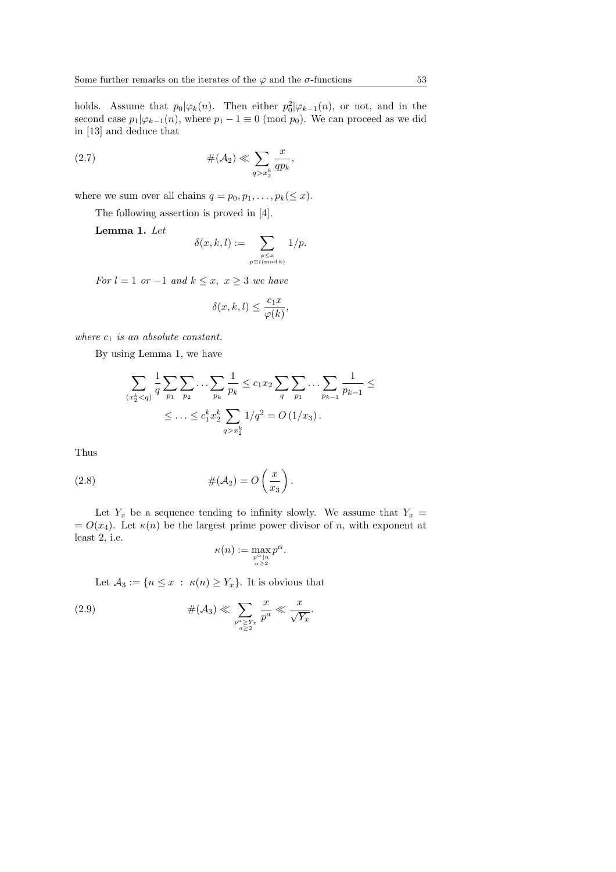holds. Assume that  $p_0|\varphi_k(n)$ . Then either  $p_0^2|\varphi_{k-1}(n)$ , or not, and in the second case  $p_1|\varphi_{k-1}(n)$ , where  $p_1 - 1 \equiv 0 \pmod{p_0}$ . We can proceed as we did in [13] and deduce that

(2.7) 
$$
\#(\mathcal{A}_2) \ll \sum_{q > x_2^k} \frac{x}{qp_k},
$$

where we sum over all chains  $q = p_0, p_1, \ldots, p_k(\leq x)$ .

The following assertion is proved in [4].

Lemma 1. Let

$$
\delta(x,k,l) := \sum_{\substack{p \le x \\ p \equiv l \pmod{k}}} 1/p.
$$

For  $l = 1$  or  $-1$  and  $k \leq x, x \geq 3$  we have

$$
\delta(x,k,l) \le \frac{c_1 x}{\varphi(k)},
$$

where  $c_1$  is an absolute constant.

By using Lemma 1, we have

$$
\sum_{(x_2^k < q)} \frac{1}{q} \sum_{p_1} \sum_{p_2} \dots \sum_{p_k} \frac{1}{p_k} \le c_1 x_2 \sum_{q} \sum_{p_1} \dots \sum_{p_{k-1}} \frac{1}{p_{k-1}} \le
$$
\n
$$
\le \dots \le c_1^k x_2^k \sum_{q > x_2^k} \frac{1}{q^2} = O\left(\frac{1}{x_3}\right).
$$

Thus

(2.8) 
$$
\#(\mathcal{A}_2) = O\left(\frac{x}{x_3}\right).
$$

Let  $Y_x$  be a sequence tending to infinity slowly. We assume that  $Y_x =$  $= O(x_4)$ . Let  $\kappa(n)$  be the largest prime power divisor of n, with exponent at least 2, i.e.

$$
\kappa(n):=\max_{p\alpha\atop \alpha\geq 2}p^{\alpha}.
$$

Let  $\mathcal{A}_3 := \{n \leq x : \kappa(n) \geq Y_x\}$ . It is obvious that

(2.9) 
$$
\#(\mathcal{A}_3) \ll \sum_{\substack{p^a \ge Y_x \\ a \ge 2}} \frac{x}{p^a} \ll \frac{x}{\sqrt{Y_x}}.
$$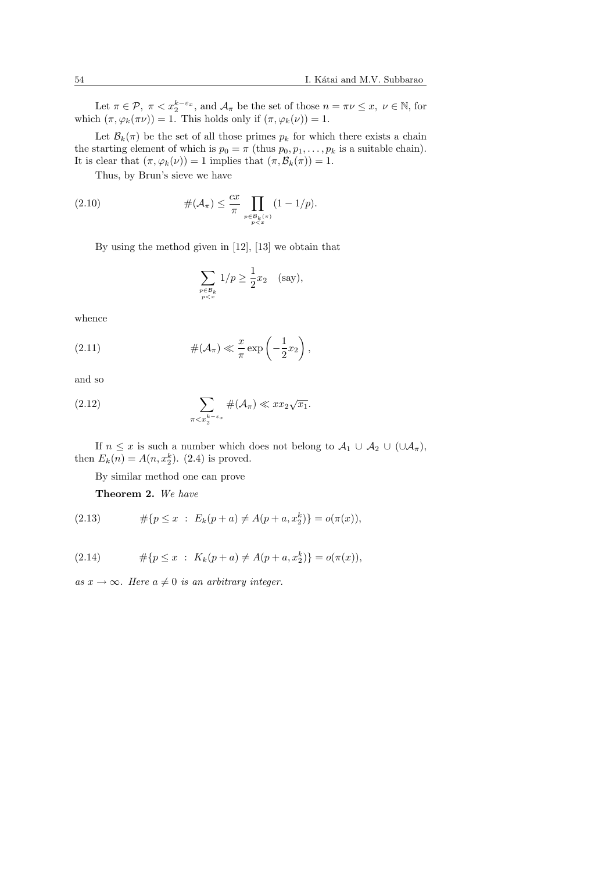Let  $\pi \in \mathcal{P}$ ,  $\pi < x_2^{k-\varepsilon_x}$ , and  $\mathcal{A}_{\pi}$  be the set of those  $n = \pi \nu \leq x$ ,  $\nu \in \mathbb{N}$ , for which  $(\pi, \varphi_k(\pi\nu)) = 1$ . This holds only if  $(\pi, \varphi_k(\nu)) = 1$ .

Let  $\mathcal{B}_k(\pi)$  be the set of all those primes  $p_k$  for which there exists a chain the starting element of which is  $p_0 = \pi$  (thus  $p_0, p_1, \ldots, p_k$  is a suitable chain). It is clear that  $(\pi, \varphi_k(\nu)) = 1$  implies that  $(\pi, \mathcal{B}_k(\pi)) = 1$ .

Thus, by Brun's sieve we have

(2.10) 
$$
\#(\mathcal{A}_{\pi}) \leq \frac{cx}{\pi} \prod_{\substack{p \in \mathcal{B}_{k}(\pi) \\ p < x}} (1 - 1/p).
$$

By using the method given in [12], [13] we obtain that

$$
\sum_{\substack{p \in \mathcal{B}_k \\ p < x}} 1/p \ge \frac{1}{2}x_2 \quad \text{(say)},
$$

whence

(2.11) 
$$
\#(\mathcal{A}_{\pi}) \ll \frac{x}{\pi} \exp\left(-\frac{1}{2}x_2\right),
$$

and so

(2.12) 
$$
\sum_{\pi < x_2^{k-\varepsilon_x}} \#(\mathcal{A}_\pi) \ll x x_2 \sqrt{x_1}.
$$

If  $n \leq x$  is such a number which does not belong to  $\mathcal{A}_1 \cup \mathcal{A}_2 \cup (\cup \mathcal{A}_{\pi})$ , then  $E_k(n) = A(n, x_2^k)$ . (2.4) is proved.

By similar method one can prove

Theorem 2. We have

(2.13) 
$$
\#\{p \le x : E_k(p+a) \ne A(p+a, x_2^k)\} = o(\pi(x)),
$$

(2.14) 
$$
\#\{p \le x \; : \; K_k(p+a) \ne A(p+a, x_2^k)\} = o(\pi(x)),
$$

as  $x \to \infty$ . Here  $a \neq 0$  is an arbitrary integer.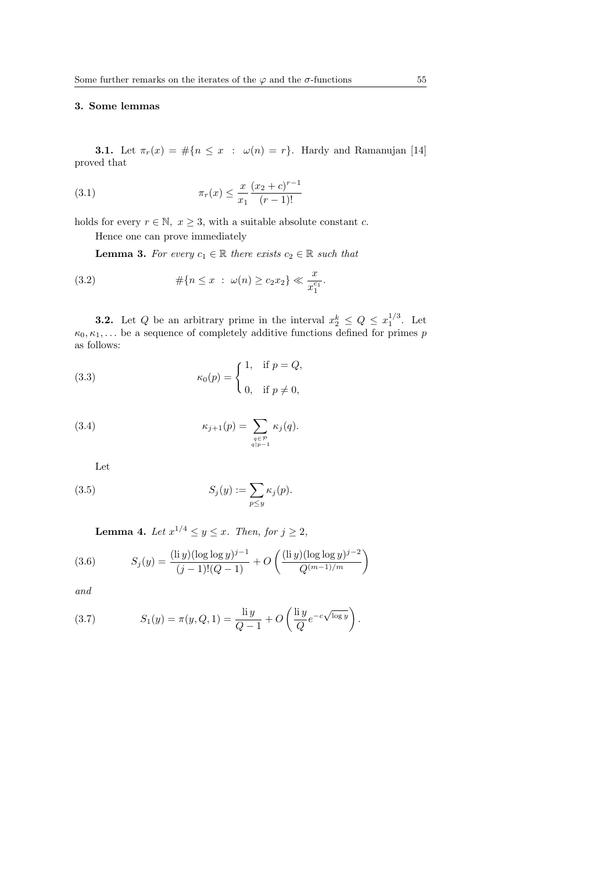# 3. Some lemmas

**3.1.** Let  $\pi_r(x) = \#\{n \leq x : \omega(n) = r\}$ . Hardy and Ramanujan [14] proved that

(3.1) 
$$
\pi_r(x) \le \frac{x}{x_1} \frac{(x_2 + c)^{r-1}}{(r-1)!}
$$

holds for every  $r \in \mathbb{N}, x \geq 3$ , with a suitable absolute constant c.

Hence one can prove immediately

**Lemma 3.** For every  $c_1 \in \mathbb{R}$  there exists  $c_2 \in \mathbb{R}$  such that

(3.2) 
$$
\#\{n \le x \ : \ \omega(n) \ge c_2 x_2\} \ll \frac{x}{x_1^{c_1}}.
$$

**3.2.** Let Q be an arbitrary prime in the interval  $x_2^k \leq Q \leq x_1^{1/3}$ . Let  $\kappa_0, \kappa_1, \ldots$  be a sequence of completely additive functions defined for primes p as follows:

(3.3) 
$$
\kappa_0(p) = \begin{cases} 1, & \text{if } p = Q, \\ 0, & \text{if } p \neq 0, \end{cases}
$$

(3.4) 
$$
\kappa_{j+1}(p) = \sum_{\substack{q \in \mathcal{P} \\ q|p-1}} \kappa_j(q).
$$

Let

(3.5) 
$$
S_j(y) := \sum_{p \le y} \kappa_j(p).
$$

**Lemma 4.** Let  $x^{1/4} \leq y \leq x$ . Then, for  $j \geq 2$ ,

(3.6) 
$$
S_j(y) = \frac{(\text{li } y)(\log \log y)^{j-1}}{(j-1)!(Q-1)} + O\left(\frac{(\text{li } y)(\log \log y)^{j-2}}{Q^{(m-1)/m}}\right)
$$

and

(3.7) 
$$
S_1(y) = \pi(y, Q, 1) = \frac{\text{li } y}{Q - 1} + O\left(\frac{\text{li } y}{Q} e^{-c\sqrt{\log y}}\right).
$$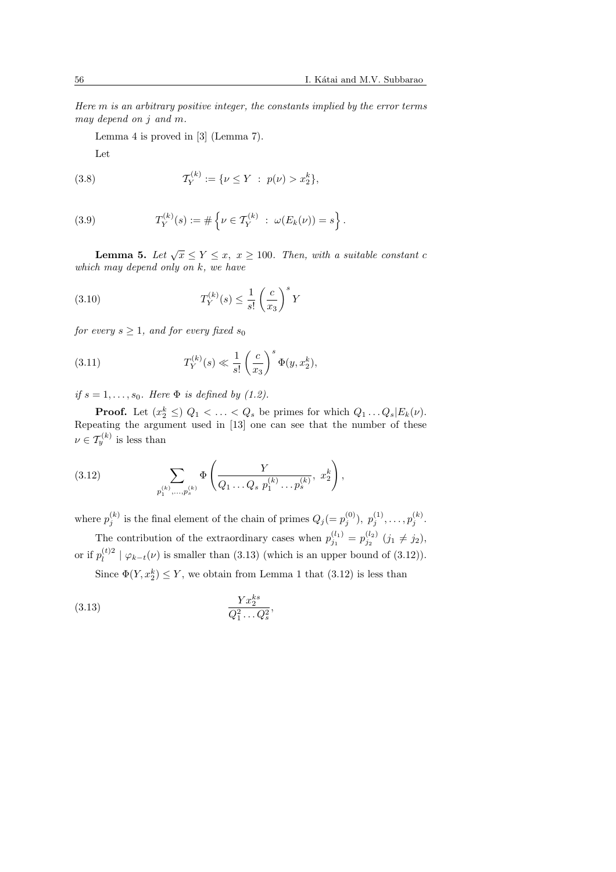Here m is an arbitrary positive integer, the constants implied by the error terms may depend on j and m.

Lemma 4 is proved in [3] (Lemma 7).

Let

(3.8) 
$$
\mathcal{T}_{Y}^{(k)} := \{ \nu \leq Y \; : \; p(\nu) > x_{2}^{k} \},
$$

(3.9) 
$$
T_Y^{(k)}(s) := \# \left\{ \nu \in \mathcal{T}_Y^{(k)} : \ \omega(E_k(\nu)) = s \right\}.
$$

**Lemma 5.** Let  $\sqrt{x} \le Y \le x$ ,  $x \ge 100$ . Then, with a suitable constant c which may depend only on k, we have

(3.10) 
$$
T_Y^{(k)}(s) \leq \frac{1}{s!} \left(\frac{c}{x_3}\right)^s Y
$$

for every  $s \geq 1$ , and for every fixed  $s_0$ 

(3.11) 
$$
T_Y^{(k)}(s) \ll \frac{1}{s!} \left(\frac{c}{x_3}\right)^s \Phi(y, x_2^k),
$$

if  $s = 1, \ldots, s_0$ . Here  $\Phi$  is defined by (1.2).

**Proof.** Let  $(x_2^k \leq)$   $Q_1 < \ldots < Q_s$  be primes for which  $Q_1 \ldots Q_s | E_k(\nu)$ . Repeating the argument used in  $[13]$  one can see that the number of these  $\nu \in \mathcal{T}_{y}^{(k)}$  is less than

(3.12) 
$$
\sum_{p_1^{(k)}, \dots, p_s^{(k)}} \Phi\left(\frac{Y}{Q_1 \dots Q_s \ p_1^{(k)} \dots p_s^{(k)}}, x_2^k\right),
$$

where  $p_j^{(k)}$  is the final element of the chain of primes  $Q_j (= p_j^{(0)}), p_j^{(1)}, \ldots, p_j^{(k)}$ .

The contribution of the extraordinary cases when  $p_{j_1}^{(l_1)} = p_{j_2}^{(l_2)}$   $(j_1 \neq j_2)$ , or if  $p_l^{(t)2}$  $\mathcal{L}^{(t)2}_{l} \mid \varphi_{k-t}(\nu)$  is smaller than (3.13) (which is an upper bound of (3.12)).

Since  $\Phi(Y, x_2^k) \leq Y$ , we obtain from Lemma 1 that  $(3.12)$  is less than

$$
(3.13)\qquad \qquad \frac{Yx_2^{ks}}{Q_1^2\ldots Q_s^2},
$$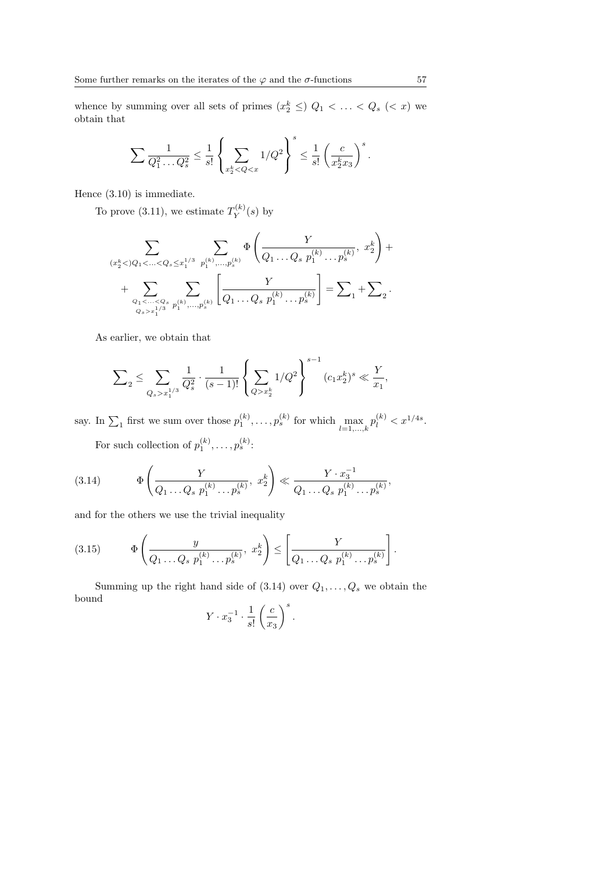whence by summing over all sets of primes  $(x_2^k \leq)$   $Q_1 < \ldots < Q_s$   $(< x)$  we obtain that

$$
\sum \frac{1}{Q_1^2 \dots Q_s^2} \le \frac{1}{s!} \left\{ \sum_{x_2^k < Q < x} 1/Q^2 \right\}^s \le \frac{1}{s!} \left( \frac{c}{x_2^k x_3} \right)^s.
$$

Hence (3.10) is immediate.

To prove (3.11), we estimate  $T_Y^{(k)}$  $Y^{(\kappa)}(s)$  by

$$
\sum_{(x_2^k < )Q_1 < \ldots < Q_s \leq x_1^{1/3}} \sum_{p_1^{(k)}, \ldots, p_s^{(k)}} \Phi\left(\frac{Y}{Q_1 \ldots Q_s \ p_1^{(k)} \ldots p_s^{(k)}}, \ x_2^k\right) + \sum_{Q_1 < \ldots < Q_s \atop Q_s > x_1^{1/3}} \sum_{p_1^{(k)}, \ldots, p_s^{(k)}} \left[\frac{Y}{Q_1 \ldots Q_s \ p_1^{(k)} \ldots p_s^{(k)}}\right] = \sum_{1} \sum_{1} \sum_{2} \ldots \sum_{Q_s = x_1^{1/3}} \sum_{p_1^{(k)}, \ldots, p_s^{(k)}} \Phi\left(\frac{Y}{Q_1 \ldots Q_s \ p_1^{(k)} \ldots p_s^{(k)}}\right)
$$

As earlier, we obtain that

$$
\sum\nolimits_2\le \sum\limits_{Q_s>x_1^{1/3}}\frac{1}{Q_s^2}\cdot\frac{1}{(s-1)!}\left\{\sum\limits_{Q>x_2^k}1/Q^2\right\}^{s-1}(c_1x_2^k)^s\ll \frac{Y}{x_1},
$$

say. In  $\sum_1$  first we sum over those  $p_1^{(k)}, \ldots, p_s^{(k)}$  for which  $\max_{l=1,\ldots,k} p_l^{(k)} < x^{1/4s}$ . For such collection of  $p_1^{(k)}, \ldots, p_s^{(k)}$ :

(3.14) 
$$
\Phi\left(\frac{Y}{Q_1 \dots Q_s \ p_1^{(k)} \dots p_s^{(k)}}, x_2^k\right) \ll \frac{Y \cdot x_3^{-1}}{Q_1 \dots Q_s \ p_1^{(k)} \dots p_s^{(k)}},
$$

and for the others we use the trivial inequality

(3.15) 
$$
\Phi\left(\frac{y}{Q_1 \dots Q_s \ p_1^{(k)} \dots p_s^{(k)}}, x_2^k\right) \le \left[\frac{Y}{Q_1 \dots Q_s \ p_1^{(k)} \dots p_s^{(k)}}\right].
$$

Summing up the right hand side of  $(3.14)$  over  $Q_1, \ldots, Q_s$  we obtain the bound  $\overline{a}$  $\setminus$  s

$$
Y \cdot x_3^{-1} \cdot \frac{1}{s!} \left(\frac{c}{x_3}\right)^s.
$$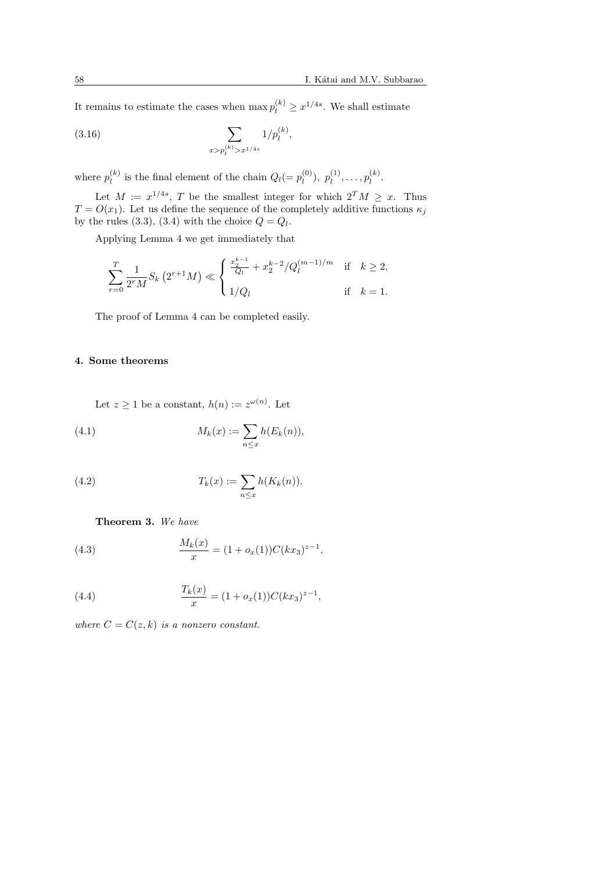It remains to estimate the cases when  $\max p_l^{(k)} \geq x^{1/4s}$ . We shall estimate

(3.16) 
$$
\sum_{x > p_l^{(k)} > x^{1/4s}} 1/p_l^{(k)},
$$

where  $p_l^{(k)}$  $\ell_l^{(k)}$  is the final element of the chain  $Q_l(=p_l^{(0)})$  $\binom{(0)}{l},\ p_l^{(1)}$  $\hat{p}_{l}^{(1)}, \ldots, p_{l}^{(k)}$  $\int_l^{(\kappa)}$ .

Let  $M := x^{1/4s}$ , T be the smallest integer for which  $2^T M \geq x$ . Thus  $T = O(x_1)$ . Let us define the sequence of the completely additive functions  $\kappa_i$ by the rules (3.3), (3.4) with the choice  $Q = Q_l$ .

Applying Lemma 4 we get immediately that

$$
\sum_{r=0}^{T} \frac{1}{2^{r} M} S_{k} \left( 2^{r+1} M \right) \ll \begin{cases} \frac{x_{2}^{k-1}}{Q_{l}} + x_{2}^{k-2} / Q_{l}^{(m-1)/m} & \text{if } k \geq 2, \\ 1 / Q_{l} & \text{if } k = 1. \end{cases}
$$

The proof of Lemma 4 can be completed easily.

# 4. Some theorems

Let  $z \geq 1$  be a constant,  $h(n) := z^{\omega(n)}$ . Let

(4.1) 
$$
M_k(x) := \sum_{n \le x} h(E_k(n)),
$$

(4.2) 
$$
T_k(x) := \sum_{n \le x} h(K_k(n)).
$$

#### Theorem 3. We have

(4.3) 
$$
\frac{M_k(x)}{x} = (1 + o_x(1))C(kx_3)^{z-1},
$$

(4.4) 
$$
\frac{T_k(x)}{x} = (1 + o_x(1))C(kx_3)^{z-1},
$$

where  $C = C(z, k)$  is a nonzero constant.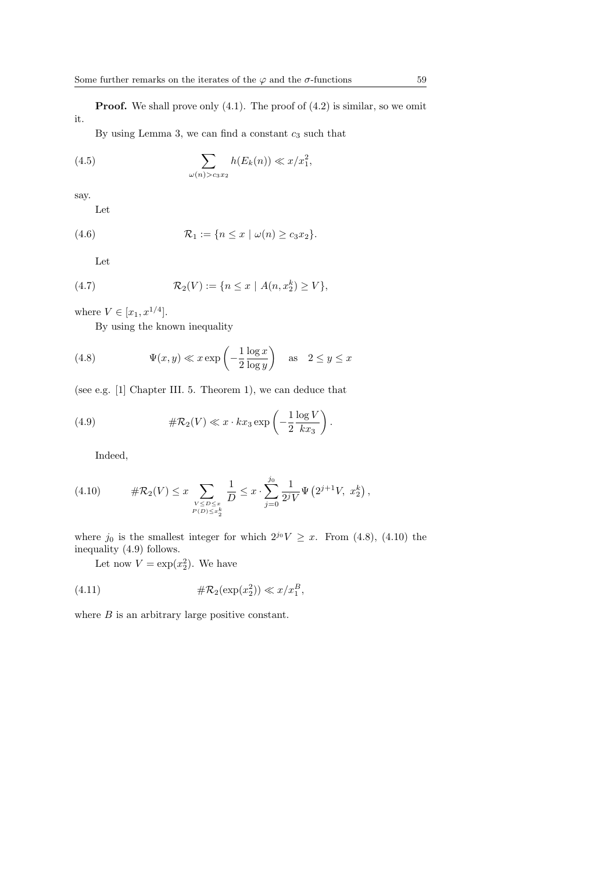**Proof.** We shall prove only  $(4.1)$ . The proof of  $(4.2)$  is similar, so we omit it.

By using Lemma 3, we can find a constant  $c_3$  such that

(4.5) 
$$
\sum_{\omega(n) > c_3 x_2} h(E_k(n)) \ll x/x_1^2,
$$

say.

Let

$$
(4.6) \qquad \qquad \mathcal{R}_1 := \{ n \leq x \mid \omega(n) \geq c_3 x_2 \}.
$$

Let

(4.7) 
$$
\mathcal{R}_2(V) := \{ n \le x \mid A(n, x_2^k) \ge V \},
$$

where  $V \in [x_1, x^{1/4}].$ 

By using the known inequality

(4.8) 
$$
\Psi(x, y) \ll x \exp\left(-\frac{1}{2} \frac{\log x}{\log y}\right) \text{ as } 2 \le y \le x
$$

(see e.g. [1] Chapter III. 5. Theorem 1), we can deduce that

(4.9) 
$$
\#\mathcal{R}_2(V) \ll x \cdot kx_3 \exp\left(-\frac{1}{2} \frac{\log V}{kx_3}\right).
$$

Indeed,

(4.10) 
$$
\#\mathcal{R}_2(V) \leq x \sum_{\substack{V \leq D \leq x \\ P(D) \leq x_{\frac{k}{2}}}} \frac{1}{D} \leq x \cdot \sum_{j=0}^{j_0} \frac{1}{2^j V} \Psi\left(2^{j+1} V, x_2^k\right),
$$

where  $j_0$  is the smallest integer for which  $2^{j_0}V \geq x$ . From (4.8), (4.10) the inequality (4.9) follows.

Let now  $V = \exp(x_2^2)$ . We have

$$
\#\mathcal{R}_2(\exp(x_2^2)) \ll x/x_1^B,
$$

where  $B$  is an arbitrary large positive constant.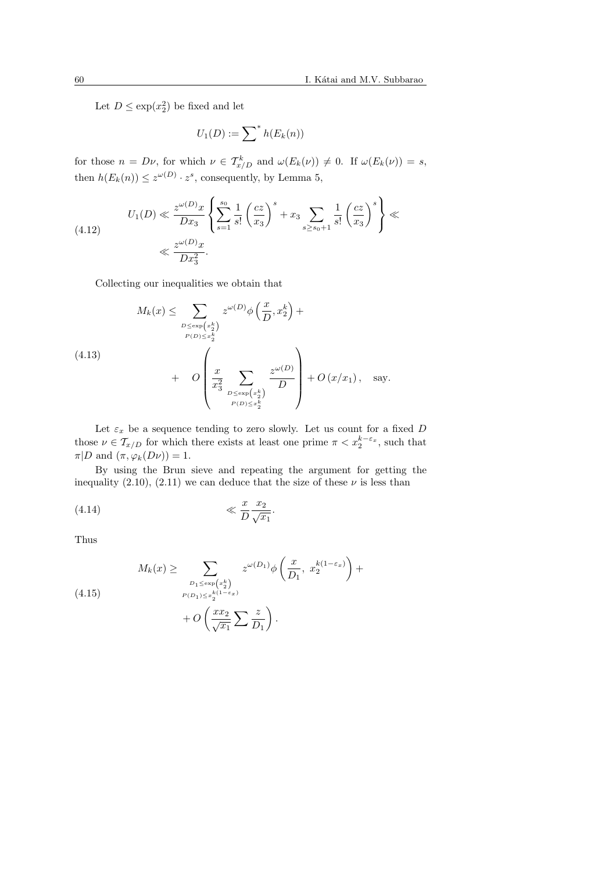Let  $D \leq \exp(x_2^2)$  be fixed and let

$$
U_1(D) := \sum^* h(E_k(n))
$$

for those  $n = D\nu$ , for which  $\nu \in T^k_{x/D}$  and  $\omega(E_k(\nu)) \neq 0$ . If  $\omega(E_k(\nu)) = s$ , then  $h(E_k(n)) \leq z^{\omega(D)} \cdot z^s$ , consequently, by Lemma 5,

(4.12) 
$$
U_1(D) \ll \frac{z^{\omega(D)}x}{Dx_3} \left\{ \sum_{s=1}^{s_0} \frac{1}{s!} \left( \frac{cz}{x_3} \right)^s + x_3 \sum_{s \ge s_0 + 1} \frac{1}{s!} \left( \frac{cz}{x_3} \right)^s \right\} \ll \frac{z^{\omega(D)}x}{Dx_3^2}.
$$

Collecting our inequalities we obtain that

$$
M_k(x) \leq \sum_{\substack{D \leq \exp\left(x_2^k\right) \\ P(D) \leq x_2^k}} z^{\omega(D)} \phi\left(\frac{x}{D}, x_2^k\right) + O\left(\frac{x}{D^3}, x_2^k\right) + O\left(\frac{x}{2^3}, \sum_{\substack{D \leq \exp\left(x_2^k\right) \\ P(D) \leq x_2^k}} \frac{z^{\omega(D)}}{D}\right) + O\left(x/x_1\right), \text{ say.}
$$

Let  $\varepsilon_x$  be a sequence tending to zero slowly. Let us count for a fixed D those  $\nu \in \mathcal{T}_{x/D}$  for which there exists at least one prime  $\pi < x_2^{k-\varepsilon_x}$ , such that  $\pi|D \text{ and } (\pi, \varphi_k(D\nu)) = 1.$ 

By using the Brun sieve and repeating the argument for getting the inequality (2.10), (2.11) we can deduce that the size of these  $\nu$  is less than

$$
\text{(4.14)} \quad \ll \frac{x}{D} \frac{x_2}{\sqrt{x_1}}.
$$

Thus

(4.15) 
$$
M_k(x) \geq \sum_{\substack{D_1 \leq \exp\left(x_2^k\right) \\ P(D_1) \leq x_2^{k(1-\varepsilon_x)}}} z^{\omega(D_1)} \phi\left(\frac{x}{D_1}, x_2^{k(1-\varepsilon_x)}\right) + O\left(\frac{xx_2}{\sqrt{x_1}} \sum \frac{z}{D_1}\right).
$$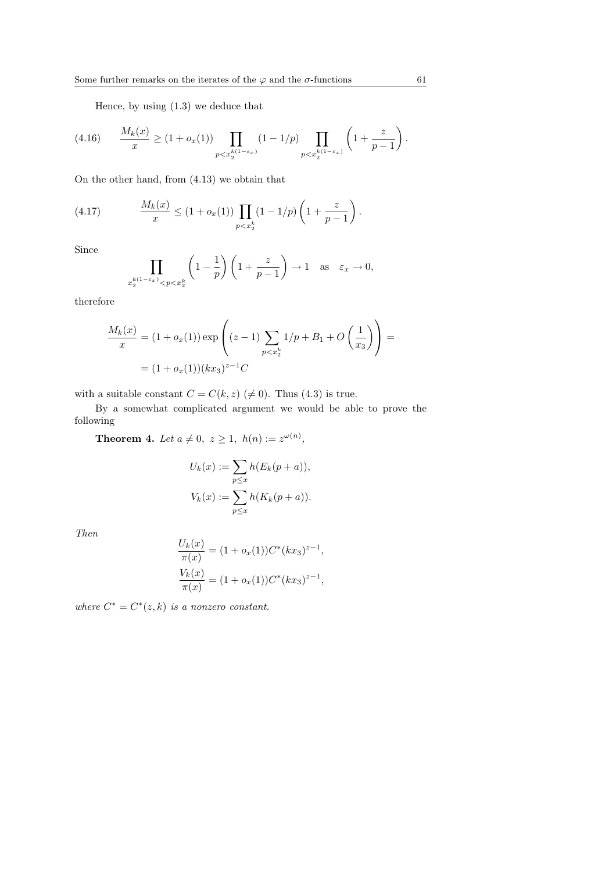Hence, by using (1.3) we deduce that

$$
(4.16) \qquad \frac{M_k(x)}{x} \ge (1 + o_x(1)) \prod_{p < x_2^{k(1 - \varepsilon_x)}} (1 - 1/p) \prod_{p < x_2^{k(1 - \varepsilon_x)}} \left( 1 + \frac{z}{p - 1} \right).
$$

On the other hand, from (4.13) we obtain that

(4.17) 
$$
\frac{M_k(x)}{x} \le (1 + o_x(1)) \prod_{p < x_2^k} (1 - 1/p) \left( 1 + \frac{z}{p-1} \right).
$$

Since

$$
\prod_{x_2^{k(1-\varepsilon_x)} < p < x_2^k} \left(1 - \frac{1}{p}\right) \left(1 + \frac{z}{p-1}\right) \to 1 \quad \text{as} \quad \varepsilon_x \to 0,
$$

therefore

$$
\frac{M_k(x)}{x} = (1 + o_x(1)) \exp\left((z - 1) \sum_{p < x_2^k} 1/p + B_1 + O\left(\frac{1}{x_3}\right)\right) =
$$
\n
$$
= (1 + o_x(1))(kx_3)^{z-1}C
$$

with a suitable constant  $C = C(k, z) \ (\neq 0)$ . Thus (4.3) is true.

By a somewhat complicated argument we would be able to prove the following

**Theorem 4.** Let  $a \neq 0, z \geq 1, h(n) := z^{\omega(n)}$ ,

$$
U_k(x) := \sum_{p \le x} h(E_k(p+a)),
$$
  

$$
V_k(x) := \sum_{p \le x} h(K_k(p+a)).
$$

Then

$$
\frac{U_k(x)}{\pi(x)} = (1 + o_x(1))C^*(kx_3)^{z-1},
$$
  

$$
\frac{V_k(x)}{\pi(x)} = (1 + o_x(1))C^*(kx_3)^{z-1},
$$

where  $C^* = C^*(z, k)$  is a nonzero constant.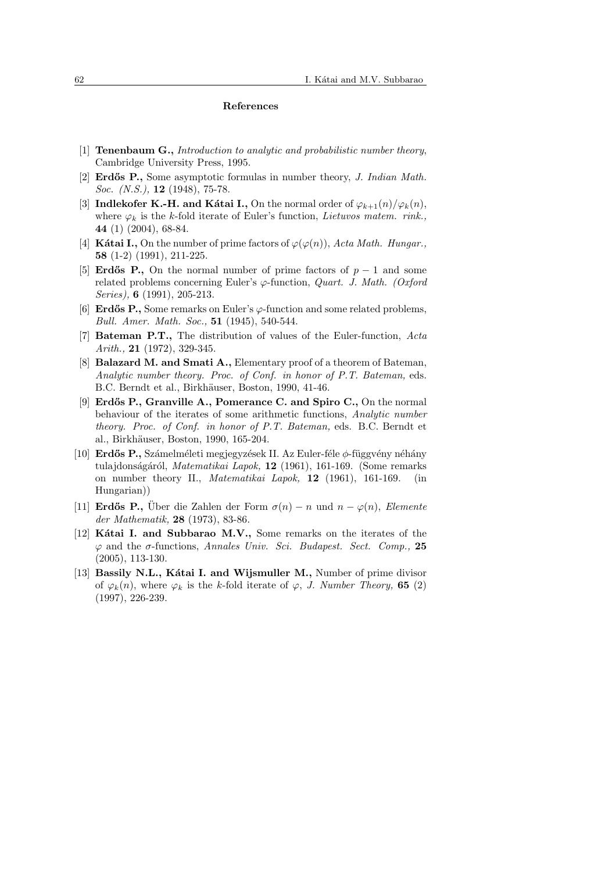#### References

- [1] **Tenenbaum G.,** Introduction to analytic and probabilistic number theory, Cambridge University Press, 1995.
- [2] **Erdős P.**, Some asymptotic formulas in number theory, *J. Indian Math.* Soc. (N.S.), **12** (1948), 75-78.
- [3] Indlekofer K.-H. and Kátai I., On the normal order of  $\varphi_{k+1}(n)/\varphi_k(n)$ , where  $\varphi_k$  is the k-fold iterate of Euler's function, *Lietuvos matem. rink.*, 44 (1) (2004), 68-84.
- [4] Kátai I., On the number of prime factors of  $\varphi(\varphi(n))$ , Acta Math. Hungar., 58 (1-2) (1991), 211-225.
- [5] Erdős P., On the normal number of prime factors of  $p-1$  and some related problems concerning Euler's  $\varphi$ -function, *Quart. J. Math.* (Oxford Series), 6 (1991), 205-213.
- [6] **Erdős P.**, Some remarks on Euler's  $\varphi$ -function and some related problems, Bull. Amer. Math. Soc., 51 (1945), 540-544.
- [7] Bateman P.T., The distribution of values of the Euler-function, Acta Arith., **21** (1972), 329-345.
- [8] **Balazard M. and Smati A.,** Elementary proof of a theorem of Bateman, Analytic number theory. Proc. of Conf. in honor of P.T. Bateman, eds. B.C. Berndt et al., Birkhäuser, Boston, 1990, 41-46.
- [9] Erdős P., Granville A., Pomerance C. and Spiro C., On the normal behaviour of the iterates of some arithmetic functions, Analytic number theory. Proc. of Conf. in honor of P.T. Bateman, eds. B.C. Berndt et al., Birkhäuser, Boston, 1990, 165-204.
- [10] Erdős P., Számelméleti megjegyzések II. Az Euler-féle  $\phi$ -függvény néhány tulajdonságáról, Matematikai Lapok, 12 (1961), 161-169. (Some remarks on number theory II., Matematikai Lapok, 12 (1961), 161-169. (in Hungarian))
- [11] Erdős P., Über die Zahlen der Form  $\sigma(n) n$  und  $n \varphi(n)$ , Elemente der Mathematik, 28 (1973), 83-86.
- [12] Kátai I. and Subbarao M.V., Some remarks on the iterates of the  $\varphi$  and the  $\sigma$ -functions, Annales Univ. Sci. Budapest. Sect. Comp., 25 (2005), 113-130.
- [13] Bassily N.L., Katai I. and Wijsmuller M., Number of prime divisor of  $\varphi_k(n)$ , where  $\varphi_k$  is the k-fold iterate of  $\varphi$ , J. Number Theory, 65 (2) (1997), 226-239.